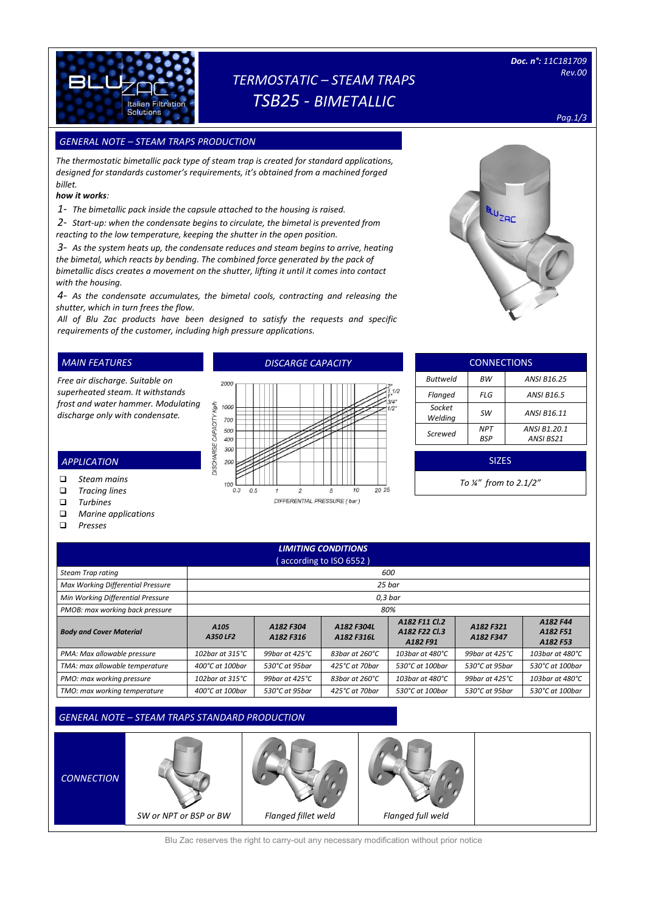

# *TERMOSTATIC – STEAM TRAPS TSB25 - BIMETALLIC*

*Pag.1/3*

### *GENERAL NOTE – STEAM TRAPS PRODUCTION SIZES*

*The thermostatic bimetallic pack type of steam trap is created for standard applications, designed for standards customer's requirements, it's obtained from a machined forged billet.*

#### *how it works:*

*1- The bimetallic pack inside the capsule attached to the housing is raised.*

*2- Start-up: when the condensate begins to circulate, the bimetal is prevented from reacting to the low temperature, keeping the shutter in the open position.*

*3- As the system heats up, the condensate reduces and steam begins to arrive, heating the bimetal, which reacts by bending. The combined force generated by the pack of bimetallic discs creates a movement on the shutter, lifting it until it comes into contact with the housing.*

*4- As the condensate accumulates, the bimetal cools, contracting and releasing the shutter, which in turn frees the flow.*

*All of Blu Zac products have been designed to satisfy the requests and specific requirements of the customer, including high pressure applications.* 

100

 $0.3$ 

 $0.5$ 

### *MAIN FEATURES*

*Free air discharge. Suitable on superheated steam. It withstands frost and water hammer. Modulating discharge only with condensate.*

### 2000 kg/h 1000 700 **DISCHARGE CAPACITY** 500 400  $200$  $200$

 $\overline{2}$ 

*DISCARGE CAPACITY*

| Flanged           | FLG               | <b>ANSI B16.5</b>         |  |  |  |  |
|-------------------|-------------------|---------------------------|--|--|--|--|
| Socket<br>Welding | <b>SW</b>         | ANSI B16.11               |  |  |  |  |
| Screwed           | <b>NPT</b><br>BSP | ANSI B1.20.1<br>ANSI BS21 |  |  |  |  |
| <b>SIZES</b>      |                   |                           |  |  |  |  |
|                   |                   |                           |  |  |  |  |

**CONNECTIONS** *Buttweld BW ANSI B16.25*

*To ¼" from to 2.1/2"*

| ⊐      | <b>Tracing lines</b> |
|--------|----------------------|
| $\Box$ | <b>Turbines</b>      |
| ⊐      | Marine applications  |

*Steam mains* 

*APPLICATION*

*Presses*

| <b>LIMITING CONDITIONS</b><br>(according to ISO 6552) |                              |                           |                           |                                            |                           |                                  |  |  |
|-------------------------------------------------------|------------------------------|---------------------------|---------------------------|--------------------------------------------|---------------------------|----------------------------------|--|--|
| Steam Trap rating                                     |                              | 600                       |                           |                                            |                           |                                  |  |  |
| Max Working Differential Pressure                     |                              | 25 bar                    |                           |                                            |                           |                                  |  |  |
| Min Working Differential Pressure                     | 0.3 <sub>bar</sub>           |                           |                           |                                            |                           |                                  |  |  |
| PMOB: max working back pressure                       |                              | 80%                       |                           |                                            |                           |                                  |  |  |
| <b>Body and Cover Material</b>                        | A <sub>105</sub><br>A350 LF2 | A182 F304<br>A182 F316    | A182 F304L<br>A182 F316L  | A182 F11 Cl.2<br>A182 F22 Cl.3<br>A182 F91 | A182 F321<br>A182 F347    | A182 F44<br>A182 F51<br>A182 F53 |  |  |
| PMA: Max allowable pressure                           | 102bar at 315 $°C$           | 99 bar at $425^{\circ}$ C | 83bar at 260 $^{\circ}$ C | 103bar at 480°C                            | 99bar at 425 $^{\circ}$ C | 103bar at 480°C                  |  |  |
| TMA: max allowable temperature                        | $400^{\circ}$ C at 100bar    | $530^{\circ}$ C at 95 bar | 425°C at 70bar            | 530°C at 100bar                            | 530°C at 95bar            | 530°C at 100bar                  |  |  |
| PMO: max working pressure                             | 102bar at 315°C              | 99bar at 425°C            | 83bar at 260°C            | 103bar at 480°C                            | 99bar at 425°C            | 103bar at 480°C                  |  |  |
| TMO: max working temperature                          | 400°C at 100bar              | 530°C at 95bar            | 425°C at 70bar            | 530°C at 100bar                            | 530°C at 95bar            | 530°C at 100bar                  |  |  |

 $2025$ 

 $\overline{\mathcal{U}}$ 

5 DIFFERENTIAL PRESSURE (bar)

### *GENERAL NOTE – STEAM TRAPS STANDARD PRODUCTION*



Blu Zac reserves the right to carry-out any necessary modification without prior notice

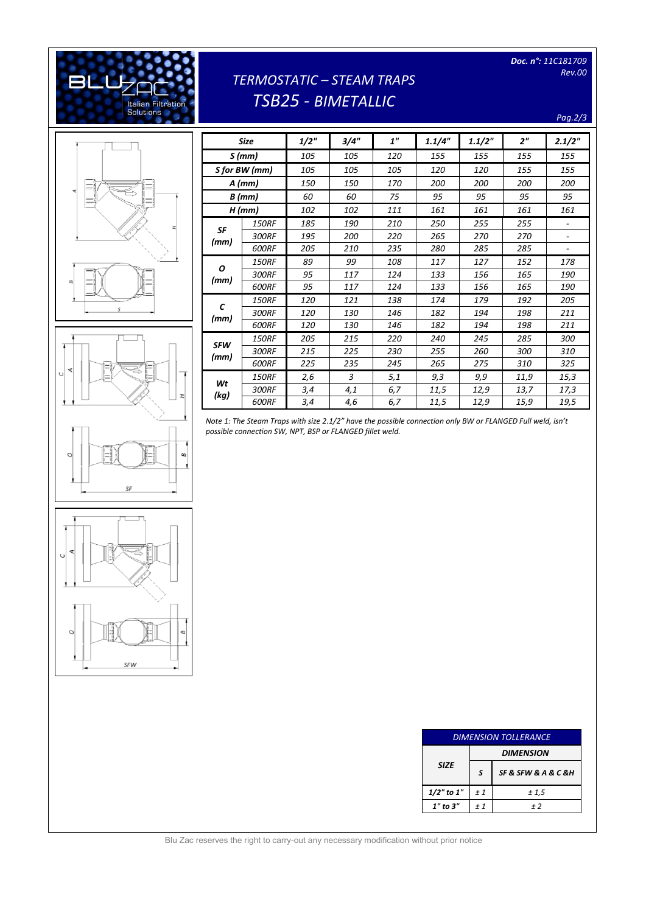*Doc. n°: 11C181709 Rev.00* 

## [Digitare il testo] **C** BI **Italian Filtration**<br>Solutions

# *TERMOSTATIC – STEAM TRAPS TSB25 - BIMETALLIC*

*Pag.2/3*







SFW

|               | Size         | 1/2" | 3/4" | 1"  | 1.1/4" | 1.1/2" | 2 <sup>''</sup> | 2.1/2"                   |
|---------------|--------------|------|------|-----|--------|--------|-----------------|--------------------------|
| S(mm)         |              | 105  | 105  | 120 | 155    | 155    | 155             | 155                      |
| S for BW (mm) |              | 105  | 105  | 105 | 120    | 120    | 155             | 155                      |
|               | $A$ (mm)     | 150  | 150  | 170 | 200    | 200    | 200             | 200                      |
|               | $B$ (mm)     | 60   | 60   | 75  | 95     | 95     | 95              | 95                       |
| $H$ (mm)      |              | 102  | 102  | 111 | 161    | 161    | 161             | 161                      |
|               | <b>150RF</b> | 185  | 190  | 210 | 250    | 255    | 255             |                          |
| SF            | 300RF        | 195  | 200  | 220 | 265    | 270    | 270             | $\overline{\phantom{0}}$ |
| (mm)          | 600RF        | 205  | 210  | 235 | 280    | 285    | 285             |                          |
|               | <b>150RF</b> | 89   | 99   | 108 | 117    | 127    | 152             | 178                      |
| Ο<br>(mm)     | 300RF        | 95   | 117  | 124 | 133    | 156    | 165             | 190                      |
|               | 600RF        | 95   | 117  | 124 | 133    | 156    | 165             | 190                      |
|               | <b>150RF</b> | 120  | 121  | 138 | 174    | 179    | 192             | 205                      |
| C<br>(mm)     | 300RF        | 120  | 130  | 146 | 182    | 194    | 198             | 211                      |
|               | 600RF        | 120  | 130  | 146 | 182    | 194    | 198             | 211                      |
| <b>SFW</b>    | <b>150RF</b> | 205  | 215  | 220 | 240    | 245    | 285             | 300                      |
| (mm)          | 300RF        | 215  | 225  | 230 | 255    | 260    | 300             | 310                      |
|               | <b>600RF</b> | 225  | 235  | 245 | 265    | 275    | 310             | 325                      |
| Wt<br>(kg)    | <b>150RF</b> | 2,6  | 3    | 5,1 | 9,3    | 9,9    | 11,9            | 15,3                     |
|               | 300RF        | 3,4  | 4,1  | 6,7 | 11,5   | 12,9   | 13,7            | 17,3                     |
|               | 600RF        | 3,4  | 4,6  | 6,7 | 11,5   | 12,9   | 15,9            | 19,5                     |

*Note 1: The Steam Traps with size 2.1/2" have the possible connection only BW or FLANGED Full weld, isn't possible connection SW, NPT, BSP or FLANGED fillet weld.*

| <b>DIMENSION TOLLERANCE</b> |                  |                     |  |  |  |
|-----------------------------|------------------|---------------------|--|--|--|
|                             | <b>DIMENSION</b> |                     |  |  |  |
| <b>SIZE</b>                 | S                | SF & SFW & A & C &H |  |  |  |
| $1/2$ " to $1$ "            | ±1               | ± 1,5               |  |  |  |
| $1"$ to $3"$                | $+1$<br>$+2$     |                     |  |  |  |